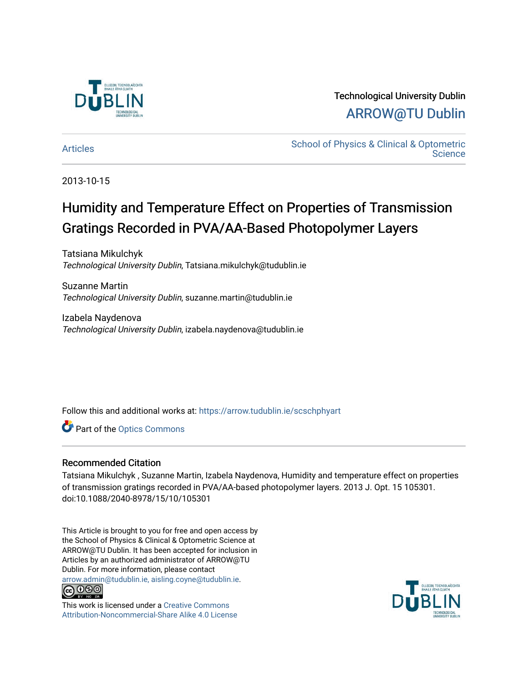

## Technological University Dublin [ARROW@TU Dublin](https://arrow.tudublin.ie/)

[Articles](https://arrow.tudublin.ie/scschphyart) **School of Physics & Clinical & Optometric Science** 

2013-10-15

# Humidity and Temperature Effect on Properties of Transmission Gratings Recorded in PVA/AA-Based Photopolymer Layers

Tatsiana Mikulchyk Technological University Dublin, Tatsiana.mikulchyk@tudublin.ie

Suzanne Martin Technological University Dublin, suzanne.martin@tudublin.ie

Izabela Naydenova Technological University Dublin, izabela.naydenova@tudublin.ie

Follow this and additional works at: [https://arrow.tudublin.ie/scschphyart](https://arrow.tudublin.ie/scschphyart?utm_source=arrow.tudublin.ie%2Fscschphyart%2F31&utm_medium=PDF&utm_campaign=PDFCoverPages)

Part of the [Optics Commons](http://network.bepress.com/hgg/discipline/204?utm_source=arrow.tudublin.ie%2Fscschphyart%2F31&utm_medium=PDF&utm_campaign=PDFCoverPages)

### Recommended Citation

Tatsiana Mikulchyk , Suzanne Martin, Izabela Naydenova, Humidity and temperature effect on properties of transmission gratings recorded in PVA/AA-based photopolymer layers. 2013 J. Opt. 15 105301. doi:10.1088/2040-8978/15/10/105301

This Article is brought to you for free and open access by the School of Physics & Clinical & Optometric Science at ARROW@TU Dublin. It has been accepted for inclusion in Articles by an authorized administrator of ARROW@TU Dublin. For more information, please contact [arrow.admin@tudublin.ie, aisling.coyne@tudublin.ie](mailto:arrow.admin@tudublin.ie,%20aisling.coyne@tudublin.ie).



This work is licensed under a [Creative Commons](http://creativecommons.org/licenses/by-nc-sa/4.0/) [Attribution-Noncommercial-Share Alike 4.0 License](http://creativecommons.org/licenses/by-nc-sa/4.0/)

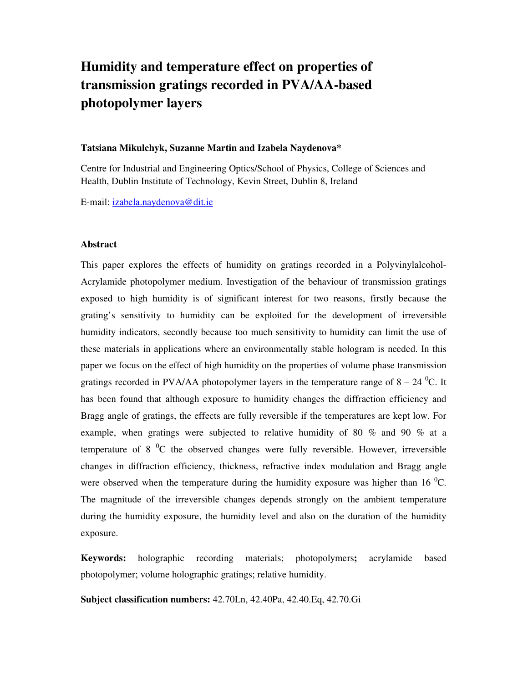# **Humidity and temperature effect on properties of transmission gratings recorded in PVA/AA-based photopolymer layers**

#### **Tatsiana Mikulchyk, Suzanne Martin and Izabela Naydenova\***

Centre for Industrial and Engineering Optics/School of Physics, College of Sciences and Health, Dublin Institute of Technology, Kevin Street, Dublin 8, Ireland

E-mail: izabela.naydenova@dit.ie

#### **Abstract**

This paper explores the effects of humidity on gratings recorded in a Polyvinylalcohol-Acrylamide photopolymer medium. Investigation of the behaviour of transmission gratings exposed to high humidity is of significant interest for two reasons, firstly because the grating's sensitivity to humidity can be exploited for the development of irreversible humidity indicators, secondly because too much sensitivity to humidity can limit the use of these materials in applications where an environmentally stable hologram is needed. In this paper we focus on the effect of high humidity on the properties of volume phase transmission gratings recorded in PVA/AA photopolymer layers in the temperature range of  $8 - 24$  °C. It has been found that although exposure to humidity changes the diffraction efficiency and Bragg angle of gratings, the effects are fully reversible if the temperatures are kept low. For example, when gratings were subjected to relative humidity of 80 % and 90 % at a temperature of 8  $^{0}C$  the observed changes were fully reversible. However, irreversible changes in diffraction efficiency, thickness, refractive index modulation and Bragg angle were observed when the temperature during the humidity exposure was higher than 16  $^{0}C$ . The magnitude of the irreversible changes depends strongly on the ambient temperature during the humidity exposure, the humidity level and also on the duration of the humidity exposure.

**Keywords:** holographic recording materials; photopolymers**;** acrylamide based photopolymer; volume holographic gratings; relative humidity.

**Subject classification numbers:** 42.70Ln, 42.40Pa, 42.40.Eq, 42.70.Gi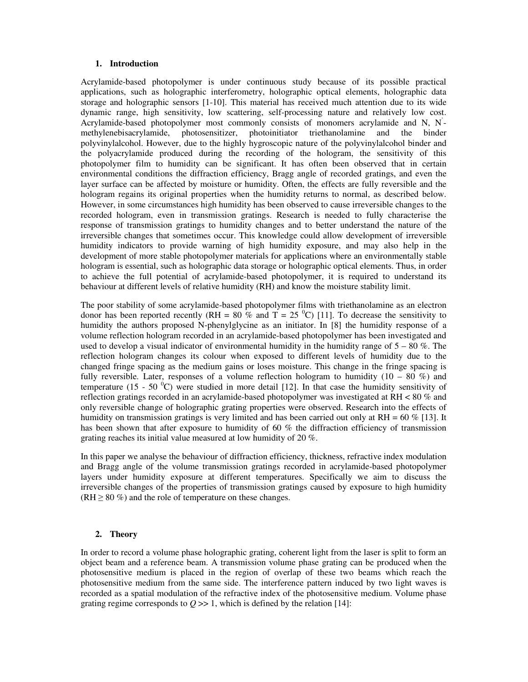#### **1. Introduction**

Acrylamide-based photopolymer is under continuous study because of its possible practical applications, such as holographic interferometry, holographic optical elements, holographic data storage and holographic sensors [1-10]. This material has received much attention due to its wide dynamic range, high sensitivity, low scattering, self-processing nature and relatively low cost. Acrylamide-based photopolymer most commonly consists of monomers acrylamide and N, N' methylenebisacrylamide, photosensitizer, photoinitiator triethanolamine and the binder polyvinylalcohol. However, due to the highly hygroscopic nature of the polyvinylalcohol binder and the polyacrylamide produced during the recording of the hologram, the sensitivity of this photopolymer film to humidity can be significant. It has often been observed that in certain environmental conditions the diffraction efficiency, Bragg angle of recorded gratings, and even the layer surface can be affected by moisture or humidity. Often, the effects are fully reversible and the hologram regains its original properties when the humidity returns to normal, as described below. However, in some circumstances high humidity has been observed to cause irreversible changes to the recorded hologram, even in transmission gratings. Research is needed to fully characterise the response of transmission gratings to humidity changes and to better understand the nature of the irreversible changes that sometimes occur. This knowledge could allow development of irreversible humidity indicators to provide warning of high humidity exposure, and may also help in the development of more stable photopolymer materials for applications where an environmentally stable hologram is essential, such as holographic data storage or holographic optical elements. Thus, in order to achieve the full potential of acrylamide-based photopolymer, it is required to understand its behaviour at different levels of relative humidity (RH) and know the moisture stability limit.

The poor stability of some acrylamide-based photopolymer films with triethanolamine as an electron donor has been reported recently (RH = 80 % and T = 25  $^{\circ}$ C) [11]. To decrease the sensitivity to humidity the authors proposed N-phenylglycine as an initiator. In [8] the humidity response of a volume reflection hologram recorded in an acrylamide-based photopolymer has been investigated and used to develop a visual indicator of environmental humidity in the humidity range of  $5 - 80\%$ . The reflection hologram changes its colour when exposed to different levels of humidity due to the changed fringe spacing as the medium gains or loses moisture. This change in the fringe spacing is fully reversible. Later, responses of a volume reflection hologram to humidity  $(10 - 80\%)$  and temperature (15 - 50  $^{\circ}$ C) were studied in more detail [12]. In that case the humidity sensitivity of reflection gratings recorded in an acrylamide-based photopolymer was investigated at RH < 80 % and only reversible change of holographic grating properties were observed. Research into the effects of humidity on transmission gratings is very limited and has been carried out only at  $RH = 60\%$  [13]. It has been shown that after exposure to humidity of 60 % the diffraction efficiency of transmission grating reaches its initial value measured at low humidity of 20 %.

In this paper we analyse the behaviour of diffraction efficiency, thickness, refractive index modulation and Bragg angle of the volume transmission gratings recorded in acrylamide-based photopolymer layers under humidity exposure at different temperatures. Specifically we aim to discuss the irreversible changes of the properties of transmission gratings caused by exposure to high humidity  $(RH \ge 80\%)$  and the role of temperature on these changes.

#### **2. Theory**

In order to record a volume phase holographic grating, coherent light from the laser is split to form an object beam and a reference beam. A transmission volume phase grating can be produced when the photosensitive medium is placed in the region of overlap of these two beams which reach the photosensitive medium from the same side. The interference pattern induced by two light waves is recorded as a spatial modulation of the refractive index of the photosensitive medium. Volume phase grating regime corresponds to  $Q \gg 1$ , which is defined by the relation [14]: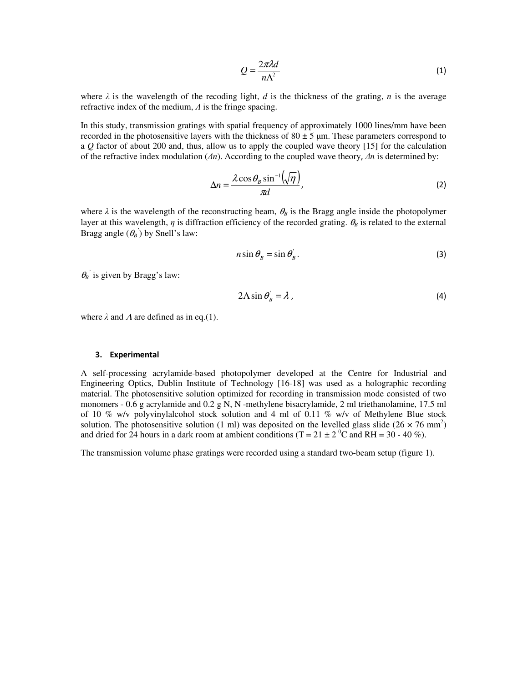$$
Q = \frac{2\pi\lambda d}{n\Lambda^2} \tag{1}
$$

where  $\lambda$  is the wavelength of the recoding light, *d* is the thickness of the grating, *n* is the average refractive index of the medium, Λ is the fringe spacing.

In this study, transmission gratings with spatial frequency of approximately 1000 lines/mm have been recorded in the photosensitive layers with the thickness of  $80 \pm 5$  µm. These parameters correspond to a *Q* factor of about 200 and, thus, allow us to apply the coupled wave theory [15] for the calculation of the refractive index modulation (∆*n*). According to the coupled wave theory, ∆*n* is determined by:

$$
\Delta n = \frac{\lambda \cos \theta_B \sin^{-1}(\sqrt{\eta})}{\pi d},
$$
\n(2)

where  $\lambda$  is the wavelength of the reconstructing beam,  $\theta_B$  is the Bragg angle inside the photopolymer layer at this wavelength,  $\eta$  is diffraction efficiency of the recorded grating.  $\theta_B$  is related to the external Bragg angle  $(\theta_B)$  by Snell's law:

$$
n\sin\theta_B = \sin\theta_B. \tag{3}
$$

 $\theta_B$ <sup>'</sup> is given by Bragg's law:

$$
2\Lambda \sin \theta_{B} = \lambda \tag{4}
$$

where  $\lambda$  and  $\Lambda$  are defined as in eq.(1).

#### 3. Experimental

A self-processing acrylamide-based photopolymer developed at the Centre for Industrial and Engineering Optics, Dublin Institute of Technology [16-18] was used as a holographic recording material. The photosensitive solution optimized for recording in transmission mode consisted of two monomers - 0.6 g acrylamide and 0.2 g N, N -methylene bisacrylamide, 2 ml triethanolamine, 17.5 ml of 10 % w/v polyvinylalcohol stock solution and 4 ml of 0.11 % w/v of Methylene Blue stock solution. The photosensitive solution (1 ml) was deposited on the levelled glass slide  $(26 \times 76 \text{ mm}^2)$ and dried for 24 hours in a dark room at ambient conditions (T =  $21 \pm 2$  °C and RH =  $30 - 40$  %).

The transmission volume phase gratings were recorded using a standard two-beam setup (figure 1).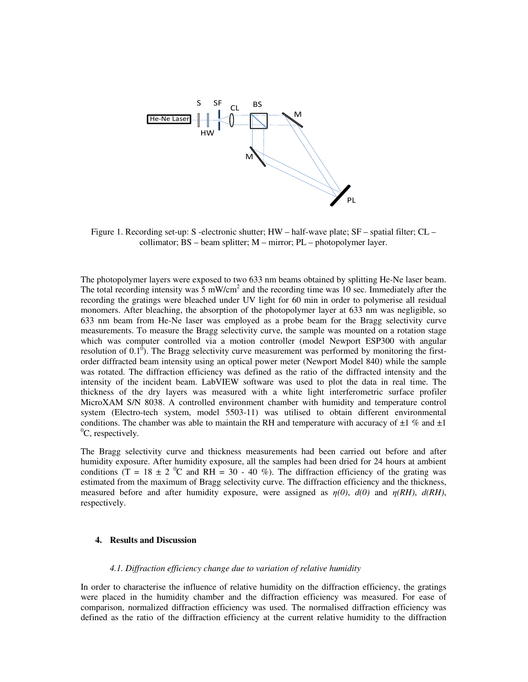

Figure 1. Recording set-up: S -electronic shutter; HW – half-wave plate; SF – spatial filter; CL – collimator; BS – beam splitter; M – mirror; PL – photopolymer layer.

The photopolymer layers were exposed to two 633 nm beams obtained by splitting He-Ne laser beam. The total recording intensity was  $5 \text{ mW/cm}^2$  and the recording time was 10 sec. Immediately after the recording the gratings were bleached under UV light for 60 min in order to polymerise all residual monomers. After bleaching, the absorption of the photopolymer layer at 633 nm was negligible, so 633 nm beam from He-Ne laser was employed as a probe beam for the Bragg selectivity curve measurements. To measure the Bragg selectivity curve, the sample was mounted on a rotation stage which was computer controlled via a motion controller (model Newport ESP300 with angular resolution of 0.1<sup> $\overline{0}$ </sup>). The Bragg selectivity curve measurement was performed by monitoring the firstorder diffracted beam intensity using an optical power meter (Newport Model 840) while the sample was rotated. The diffraction efficiency was defined as the ratio of the diffracted intensity and the intensity of the incident beam. LabVIEW software was used to plot the data in real time. The thickness of the dry layers was measured with a white light interferometric surface profiler MicroXAM S/N 8038. A controlled environment chamber with humidity and temperature control system (Electro-tech system, model 5503-11) was utilised to obtain different environmental conditions. The chamber was able to maintain the RH and temperature with accuracy of  $\pm 1$  % and  $\pm 1$  ${}^{0}C$ , respectively.

The Bragg selectivity curve and thickness measurements had been carried out before and after humidity exposure. After humidity exposure, all the samples had been dried for 24 hours at ambient conditions (T = 18  $\pm$  2  $\degree$ C and RH = 30 - 40 %). The diffraction efficiency of the grating was estimated from the maximum of Bragg selectivity curve. The diffraction efficiency and the thickness, measured before and after humidity exposure, were assigned as  $\eta(0)$ ,  $d(0)$  and  $\eta(RH)$ ,  $d(RH)$ , respectively.

#### **4. Results and Discussion**

#### *4.1. Diffraction efficiency change due to variation of relative humidity*

In order to characterise the influence of relative humidity on the diffraction efficiency, the gratings were placed in the humidity chamber and the diffraction efficiency was measured. For ease of comparison, normalized diffraction efficiency was used. The normalised diffraction efficiency was defined as the ratio of the diffraction efficiency at the current relative humidity to the diffraction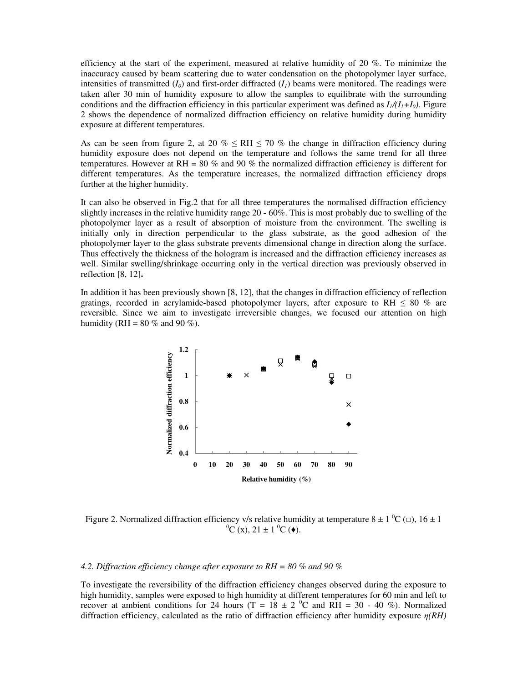efficiency at the start of the experiment, measured at relative humidity of 20 %. To minimize the inaccuracy caused by beam scattering due to water condensation on the photopolymer layer surface, intensities of transmitted  $(I_0)$  and first-order diffracted  $(I_i)$  beams were monitored. The readings were taken after 30 min of humidity exposure to allow the samples to equilibrate with the surrounding conditions and the diffraction efficiency in this particular experiment was defined as  $I_1/(I_1+I_0)$ . Figure 2 shows the dependence of normalized diffraction efficiency on relative humidity during humidity exposure at different temperatures.

As can be seen from figure 2, at 20 %  $\leq$  RH  $\leq$  70 % the change in diffraction efficiency during humidity exposure does not depend on the temperature and follows the same trend for all three temperatures. However at RH = 80 % and 90 % the normalized diffraction efficiency is different for different temperatures. As the temperature increases, the normalized diffraction efficiency drops further at the higher humidity.

It can also be observed in Fig.2 that for all three temperatures the normalised diffraction efficiency slightly increases in the relative humidity range 20 - 60%. This is most probably due to swelling of the photopolymer layer as a result of absorption of moisture from the environment. The swelling is initially only in direction perpendicular to the glass substrate, as the good adhesion of the photopolymer layer to the glass substrate prevents dimensional change in direction along the surface. Thus effectively the thickness of the hologram is increased and the diffraction efficiency increases as well. Similar swelling/shrinkage occurring only in the vertical direction was previously observed in reflection [8, 12]**.** 

In addition it has been previously shown [8, 12], that the changes in diffraction efficiency of reflection gratings, recorded in acrylamide-based photopolymer layers, after exposure to RH  $\leq 80\%$  are reversible. Since we aim to investigate irreversible changes, we focused our attention on high humidity (RH =  $80\%$  and  $90\%$ ).



Figure 2. Normalized diffraction efficiency v/s relative humidity at temperature  $8 \pm 1\degree$ C ( $\Box$ ),  $16 \pm 1\degree$  ${}^{0}C$  (x), 21  $\pm$  1  ${}^{0}C$  ( $\bullet$ ).

#### *4.2. Diffraction efficiency change after exposure to RH = 80 % and 90 %*

To investigate the reversibility of the diffraction efficiency changes observed during the exposure to high humidity, samples were exposed to high humidity at different temperatures for 60 min and left to recover at ambient conditions for 24 hours (T =  $18 \pm 2$  °C and RH = 30 - 40 %). Normalized diffraction efficiency, calculated as the ratio of diffraction efficiency after humidity exposure η*(RH)*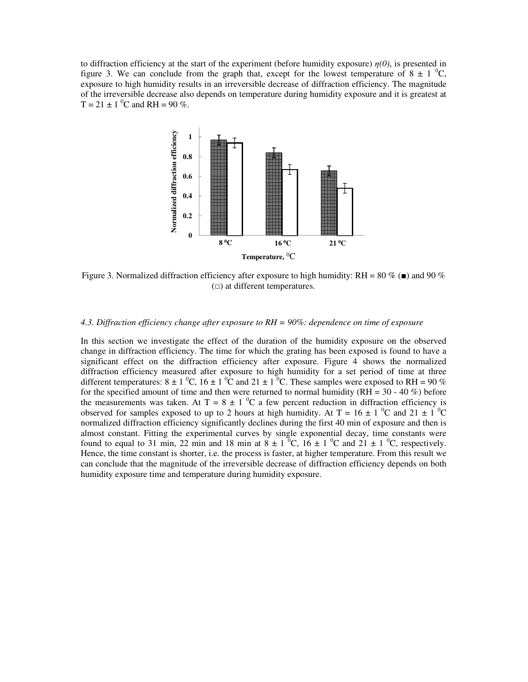to diffraction efficiency at the start of the experiment (before humidity exposure)  $\eta(0)$ , is presented in figure 3. We can conclude from the graph that, except for the lowest temperature of  $8 \pm 1$  °C, exposure to high humidity results in an irreversible decrease of diffraction efficiency. The magnitude of the irreversible decrease also depends on temperature during humidity exposure and it is greatest at  $T = 21 \pm 1$ <sup>o</sup>C and RH = 90 %.



Figure 3. Normalized diffraction efficiency after exposure to high humidity: RH = 80 % ( $\blacksquare$ ) and 90 % ( $\blacksquare$ ) at different temperatures.

#### *4.3. Diffraction efficiency change after exposure to RH = 90%: dependence on time of exposure : dependence*

In this section we investigate the effect of the duration of the humidity exposure on the observed In this section we investigate the effect of the duration of the humidity exposure on the observed change in diffraction efficiency. The time for which the grating has been exposed is found to have a significant effect on the diffraction efficiency after exposure. Figure 4 shows the normalized diffraction efficiency measured after exposure to high humidity for a set period of time at three different temperatures:  $8 \pm 1$  <sup>0</sup>C,  $16 \pm 1$  <sup>0</sup>C and  $21 \pm 1$  <sup>0</sup>C. These samples were exposed to RH = 90 % for the specified amount of time and then were returned to normal humidity ( $RH = 30 - 40\%$ ) before the measurements was taken. At T =  $8 \pm 1$  °C a few percent reduction in diffraction efficiency is observed for samples exposed to up to 2 hours at high humidity. At T = 16  $\pm$  1  $^0$ C and 21  $\pm$  1  $^0$ C normalized diffraction efficiency significantly declines during the first 40 min of exposure and then is almost constant. Fitting the experimental curves by single exponential decay, time constants were found to equal to 31 min, 22 min and 18 min at  $8 \pm 1$  °C, 16  $\pm$  1 °C and 21  $\pm$  1 °C, respectively. Hence, the time constant is shorter, i.e. the process is faster, at higher temperature. From this result we can conclude that the magnitude of the irreversible decrease of diffraction efficiency depends on both humidity exposure time and temperature during humidity exposure during humidity exposure.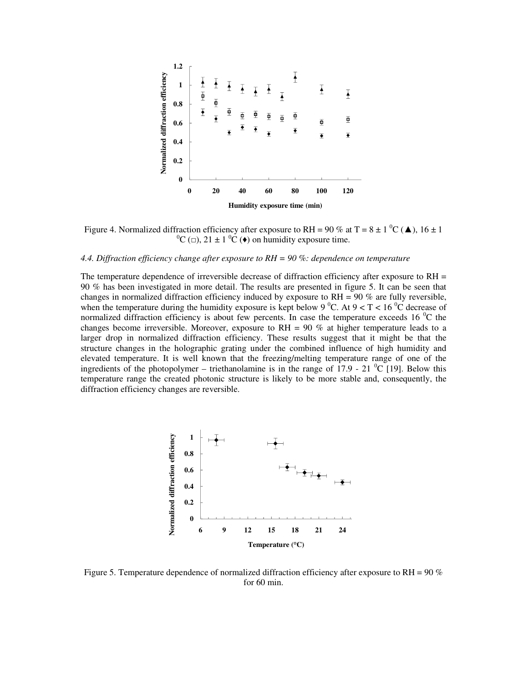

Figure 4. Normalized diffraction efficiency after exposure to RH = 90 % at T = 8  $\pm$  1  $^{\circ}$ C ( $\blacktriangle$ ), 16  $\pm$  1  ${}^{0}C$  ( $\Box$ ), 21  $\pm$  1  ${}^{0}C$  ( $\bullet$ ) on humidity exposure time.

#### *4.4. Diffraction efficiency change after exposure to RH = 90 %: dependence on temperature*

The temperature dependence of irreversible decrease of diffraction efficiency after exposure to  $RH =$ 90 % has been investigated in more detail. The results are presented in figure 5. It can be seen that changes in normalized diffraction efficiency induced by exposure to  $RH = 90$  % are fully reversible, when the temperature during the humidity exposure is kept below 9 °C. At  $9 < T < 16$  °C decrease of normalized diffraction efficiency is about few percents. In case the temperature exceeds 16  $^{\circ}$ C the changes become irreversible. Moreover, exposure to  $RH = 90\%$  at higher temperature leads to a larger drop in normalized diffraction efficiency. These results suggest that it might be that the structure changes in the holographic grating under the combined influence of high humidity and elevated temperature. It is well known that the freezing/melting temperature range of one of the ingredients of the photopolymer – triethanolamine is in the range of 17.9 - 21  $^{\circ}$ C [19]. Below this temperature range the created photonic structure is likely to be more stable and, consequently, the diffraction efficiency changes are reversible.



Figure 5. Temperature dependence of normalized diffraction efficiency after exposure to RH =  $90\%$ for 60 min.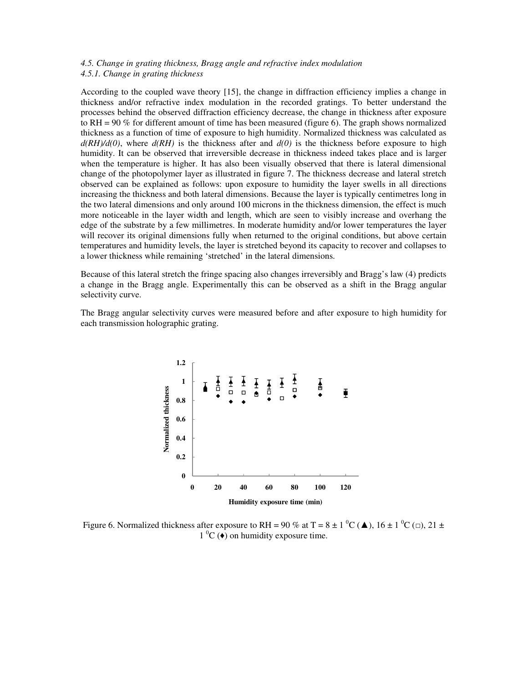#### *4.5. Change in grating thickness, Bragg angle and refractive index modulation 4.5.1. Change in grating thickness*

According to the coupled wave theory [15], the change in diffraction efficiency implies a change in thickness and/or refractive index modulation in the recorded gratings. To better understand the processes behind the observed diffraction efficiency decrease, the change in thickness after exposure to  $RH = 90\%$  for different amount of time has been measured (figure 6). The graph shows normalized thickness as a function of time of exposure to high humidity. Normalized thickness was calculated as *d(RH)/d(0)*, where *d(RH)* is the thickness after and *d(0)* is the thickness before exposure to high humidity. It can be observed that irreversible decrease in thickness indeed takes place and is larger when the temperature is higher. It has also been visually observed that there is lateral dimensional change of the photopolymer layer as illustrated in figure 7. The thickness decrease and lateral stretch observed can be explained as follows: upon exposure to humidity the layer swells in all directions increasing the thickness and both lateral dimensions. Because the layer is typically centimetres long in the two lateral dimensions and only around 100 microns in the thickness dimension, the effect is much more noticeable in the layer width and length, which are seen to visibly increase and overhang the edge of the substrate by a few millimetres. In moderate humidity and/or lower temperatures the layer will recover its original dimensions fully when returned to the original conditions, but above certain temperatures and humidity levels, the layer is stretched beyond its capacity to recover and collapses to a lower thickness while remaining 'stretched' in the lateral dimensions.

Because of this lateral stretch the fringe spacing also changes irreversibly and Bragg's law (4) predicts a change in the Bragg angle. Experimentally this can be observed as a shift in the Bragg angular selectivity curve.

The Bragg angular selectivity curves were measured before and after exposure to high humidity for each transmission holographic grating.



Figure 6. Normalized thickness after exposure to RH = 90 % at T = 8  $\pm$  1  $^0C$  ( $\blacktriangle$ ), 16  $\pm$  1  $^0C$  ( $\Box$ ), 21  $\pm$  $1^{\circ}$ C ( $\bullet$ ) on humidity exposure time.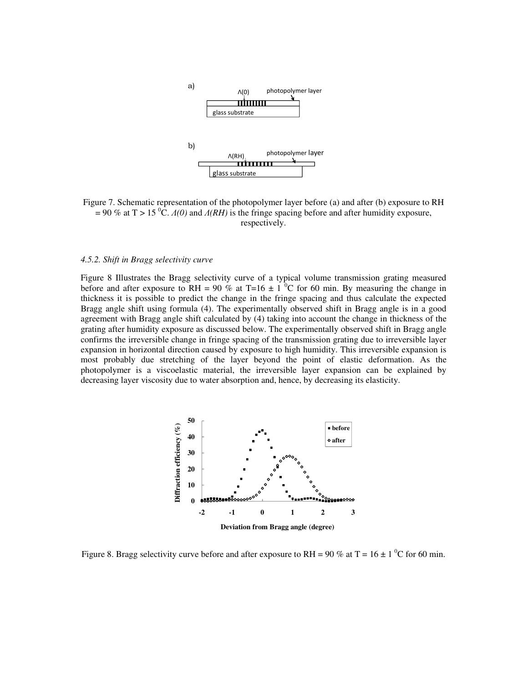

Figure 7. Schematic representation of the photopolymer layer before (a) and after (b) exposure to RH  $= 90\%$  at T > 15<sup>°</sup>C.  $A(0)$  and  $A(RH)$  is the fringe spacing before and after humidity exposure, respectively.

#### *4.5.2. Shift in Bragg selectivity curve*

Figure 8 Illustrates the Bragg selectivity curve of a typical volume transmission grating measured before and after exposure to RH = 90 % at T=16  $\pm$  1 <sup>o</sup>C for 60 min. By measuring the change in thickness it is possible to predict the change in the fringe spacing and thus calculate the expected Bragg angle shift using formula (4). The experimentally observed shift in Bragg angle is in a good agreement with Bragg angle shift calculated by (4) taking into account the change in thickness of the grating after humidity exposure as discussed below. The experimentally observed shift in Bragg angle confirms the irreversible change in fringe spacing of the transmission grating due to irreversible layer expansion in horizontal direction caused by exposure to high humidity. This irreversible expansion is most probably due stretching of the layer beyond the point of elastic deformation. As the photopolymer is a viscoelastic material, the irreversible layer expansion can be explained by decreasing layer viscosity due to water absorption and, hence, by decreasing its elasticity.



Figure 8. Bragg selectivity curve before and after exposure to RH = 90 % at T = 16  $\pm$  1 <sup>o</sup>C for 60 min.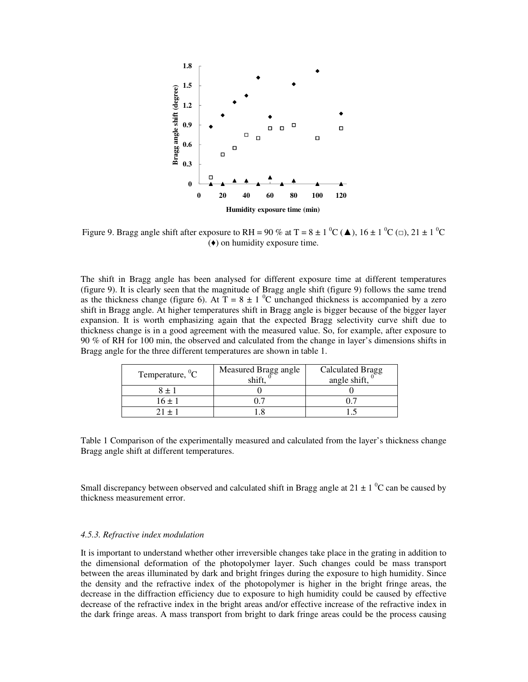

Figure 9. Bragg angle shift after exposure to RH = 90 % at T =  $8 \pm 1$  °C ( $\triangle$ ),  $16 \pm 1$  °C ( $\Box$ ),  $21 \pm 1$  °C (♦) on humidity exposure time.

The shift in Bragg angle has been analysed for different exposure time at different temperatures (figure 9). It is clearly seen that the magnitude of Bragg angle shift (figure 9) follows the same trend as the thickness change (figure 6). At  $T = 8 \pm 1$  <sup>0</sup>C unchanged thickness is accompanied by a zero shift in Bragg angle. At higher temperatures shift in Bragg angle is bigger because of the bigger layer expansion. It is worth emphasizing again that the expected Bragg selectivity curve shift due to thickness change is in a good agreement with the measured value. So, for example, after exposure to 90 % of RH for 100 min, the observed and calculated from the change in layer's dimensions shifts in Bragg angle for the three different temperatures are shown in table 1.

| Temperature, ${}^{0}C$ | Measured Bragg angle | <b>Calculated Bragg</b><br>angle shift, $^{\circ}$ |
|------------------------|----------------------|----------------------------------------------------|
|                        |                      |                                                    |
| 16 + 1                 |                      |                                                    |
|                        |                      |                                                    |

Table 1 Comparison of the experimentally measured and calculated from the layer's thickness change Bragg angle shift at different temperatures.

Small discrepancy between observed and calculated shift in Bragg angle at  $21 \pm 1$  <sup>0</sup>C can be caused by thickness measurement error.

#### *4.5.3. Refractive index modulation*

It is important to understand whether other irreversible changes take place in the grating in addition to the dimensional deformation of the photopolymer layer. Such changes could be mass transport between the areas illuminated by dark and bright fringes during the exposure to high humidity. Since the density and the refractive index of the photopolymer is higher in the bright fringe areas, the decrease in the diffraction efficiency due to exposure to high humidity could be caused by effective decrease of the refractive index in the bright areas and/or effective increase of the refractive index in the dark fringe areas. A mass transport from bright to dark fringe areas could be the process causing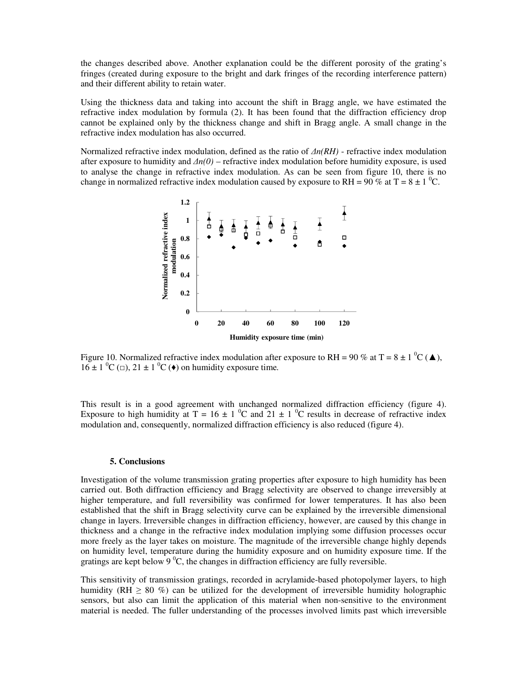the changes described above. Another explanation could be the different porosity of the grating's fringes (created during exposure to the bright and dark fringes of the recording interference pattern) and their different ability to retain water.

Using the thickness data and taking into account the shift in Bragg angle, we have estimated the refractive index modulation by formula (2). It has been found that the diffraction efficiency drop cannot be explained only by the thickness change and shift in Bragg angle. A small change in the refractive index modulation has also occurred.

Normalized refractive index modulation, defined as the ratio of  $\Delta n(RH)$  - refractive index modulation after exposure to humidity and  $\Delta n(0)$  – refractive index modulation before humidity exposure, is used to analyse the change in refractive index modulation. As can be seen from figure 10, there is no change in normalized refractive index modulation caused by exposure to RH = 90 % at T = 8  $\pm$  1 <sup>o</sup>C.



Figure 10. Normalized refractive index modulation after exposure to RH = 90 % at T = 8  $\pm$  1  $^0C(\blacktriangle)$ ,  $16 \pm 1$  <sup>0</sup>C ( $\Box$ ),  $21 \pm 1$  <sup>0</sup>C ( $\blacklozenge$ ) on humidity exposure time.

This result is in a good agreement with unchanged normalized diffraction efficiency (figure 4). Exposure to high humidity at T = 16  $\pm$  1  $\rm{^0C}$  and 21  $\pm$  1  $\rm{^0C}$  results in decrease of refractive index modulation and, consequently, normalized diffraction efficiency is also reduced (figure 4).

#### **5. Conclusions**

Investigation of the volume transmission grating properties after exposure to high humidity has been carried out. Both diffraction efficiency and Bragg selectivity are observed to change irreversibly at higher temperature, and full reversibility was confirmed for lower temperatures. It has also been established that the shift in Bragg selectivity curve can be explained by the irreversible dimensional change in layers. Irreversible changes in diffraction efficiency, however, are caused by this change in thickness and a change in the refractive index modulation implying some diffusion processes occur more freely as the layer takes on moisture. The magnitude of the irreversible change highly depends on humidity level, temperature during the humidity exposure and on humidity exposure time. If the gratings are kept below 9 $\degree$ C, the changes in diffraction efficiency are fully reversible.

This sensitivity of transmission gratings, recorded in acrylamide-based photopolymer layers, to high humidity (RH  $\geq$  80 %) can be utilized for the development of irreversible humidity holographic sensors, but also can limit the application of this material when non-sensitive to the environment material is needed. The fuller understanding of the processes involved limits past which irreversible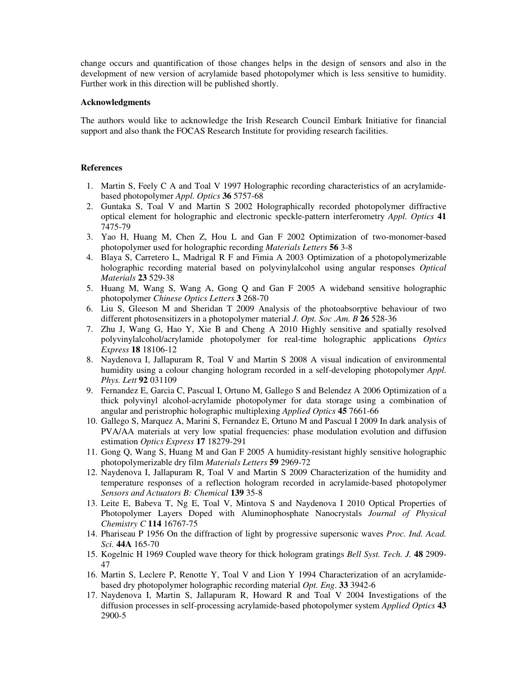change occurs and quantification of those changes helps in the design of sensors and also in the development of new version of acrylamide based photopolymer which is less sensitive to humidity. Further work in this direction will be published shortly.

#### **Acknowledgments**

The authors would like to acknowledge the Irish Research Council Embark Initiative for financial support and also thank the FOCAS Research Institute for providing research facilities.

#### **References**

- 1. Martin S, Feely C A and Toal V 1997 Holographic recording characteristics of an acrylamidebased photopolymer *Appl. Optics* **36** 5757-68
- 2. Guntaka S, Toal V and Martin S 2002 Holographically recorded photopolymer diffractive optical element for holographic and electronic speckle-pattern interferometry *Appl. Optics* **41** 7475-79
- 3. Yao H, Huang M, Chen Z, Hou L and Gan F 2002 Optimization of two-monomer-based photopolymer used for holographic recording *Materials Letters* **56** 3-8
- 4. Blaya S, Carretero L, Madrigal R F and Fimia A 2003 Optimization of a photopolymerizable holographic recording material based on polyvinylalcohol using angular responses *Optical Materials* **23** 529-38
- 5. Huang M, Wang S, Wang A, Gong Q and Gan F 2005 A wideband sensitive holographic photopolymer *Chinese Optics Letters* **3** 268-70
- 6. Liu S, Gleeson M and Sheridan T 2009 Analysis of the photoabsorptive behaviour of two different photosensitizers in a photopolymer material *J. Opt. Soc .Am. B* **26** 528-36
- 7. Zhu J, Wang G, Hao Y, Xie B and Cheng A 2010 Highly sensitive and spatially resolved polyvinylalcohol/acrylamide photopolymer for real-time holographic applications *Optics Express* **18** 18106-12
- 8. Naydenova I, Jallapuram R, Toal V and Martin S 2008 A visual indication of environmental humidity using a colour changing hologram recorded in a self-developing photopolymer *Appl. Phys. Lett* **92** 031109
- 9. Fernandez E, Garcia C, Pascual I, Ortuno M, Gallego S and Belendez A 2006 Optimization of a thick polyvinyl alcohol-acrylamide photopolymer for data storage using a combination of angular and peristrophic holographic multiplexing *Applied Optics* **45** 7661-66
- 10. Gallego S, Marquez A, Marini S, Fernandez E, Ortuno M and Pascual I 2009 In dark analysis of PVA/AA materials at very low spatial frequencies: phase modulation evolution and diffusion estimation *Optics Express* **17** 18279-291
- 11. Gong Q, Wang S, Huang M and Gan F 2005 A humidity-resistant highly sensitive holographic photopolymerizable dry film *Materials Letters* **59** 2969-72
- 12. Naydenova I, Jallapuram R, Toal V and Martin S 2009 Characterization of the humidity and temperature responses of a reflection hologram recorded in acrylamide-based photopolymer *Sensors and Actuators B: Chemical* **139** 35-8
- 13. Leite E, Babeva T, Ng E, Toal V, Mintova S and Naydenova I 2010 Optical Properties of Photopolymer Layers Doped with Aluminophosphate Nanocrystals *Journal of Physical Chemistry C* **114** 16767-75
- 14. Phariseau P 1956 On the diffraction of light by progressive supersonic waves *Proc. Ind. Acad. Sci.* **44A** 165-70
- 15. Kogelnic H 1969 Coupled wave theory for thick hologram gratings *Bell Syst. Tech. J.* **48** 2909- 47
- 16. Martin S, Leclere P, Renotte Y, Toal V and Lion Y 1994 Characterization of an acrylamidebased dry photopolymer holographic recording material *Opt. Eng*. **33** 3942-6
- 17. Naydenova I, Martin S, Jallapuram R, Howard R and Toal V 2004 Investigations of the diffusion processes in self-processing acrylamide-based photopolymer system *Applied Optics* **43** 2900-5